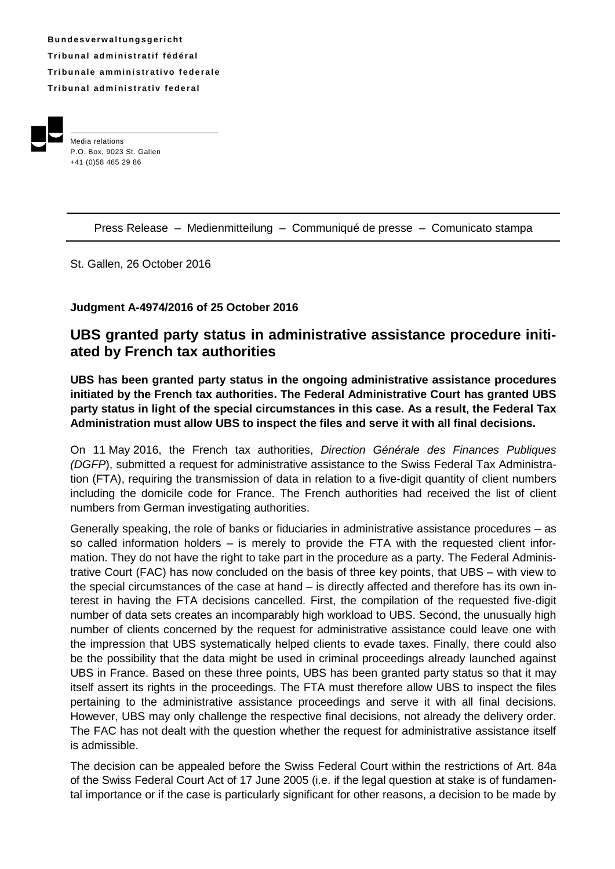**B u n d e s v e rw a l t u ng s g e r i ch t Tr i b u n a l ad m i ni s t r a t i f f éd é r a l Tribunale amministrativo federale Tr i b u n a l ad m i ni s t r a t i v fe d e r a l**



Press Release – Medienmitteilung – Communiqué de presse – Comunicato stampa

St. Gallen, 26 October 2016

## **Judgment A-4974/2016 of 25 October 2016**

## **UBS granted party status in administrative assistance procedure initiated by French tax authorities**

**UBS has been granted party status in the ongoing administrative assistance procedures initiated by the French tax authorities. The Federal Administrative Court has granted UBS party status in light of the special circumstances in this case. As a result, the Federal Tax Administration must allow UBS to inspect the files and serve it with all final decisions.**

On 11 May 2016, the French tax authorities, *Direction Générale des Finances Publiques (DGFP*), submitted a request for administrative assistance to the Swiss Federal Tax Administration (FTA), requiring the transmission of data in relation to a five-digit quantity of client numbers including the domicile code for France. The French authorities had received the list of client numbers from German investigating authorities.

Generally speaking, the role of banks or fiduciaries in administrative assistance procedures – as so called information holders – is merely to provide the FTA with the requested client information. They do not have the right to take part in the procedure as a party. The Federal Administrative Court (FAC) has now concluded on the basis of three key points, that UBS – with view to the special circumstances of the case at hand – is directly affected and therefore has its own interest in having the FTA decisions cancelled. First, the compilation of the requested five-digit number of data sets creates an incomparably high workload to UBS. Second, the unusually high number of clients concerned by the request for administrative assistance could leave one with the impression that UBS systematically helped clients to evade taxes. Finally, there could also be the possibility that the data might be used in criminal proceedings already launched against UBS in France. Based on these three points, UBS has been granted party status so that it may itself assert its rights in the proceedings. The FTA must therefore allow UBS to inspect the files pertaining to the administrative assistance proceedings and serve it with all final decisions. However, UBS may only challenge the respective final decisions, not already the delivery order. The FAC has not dealt with the question whether the request for administrative assistance itself is admissible.

The decision can be appealed before the Swiss Federal Court within the restrictions of Art. 84a of the Swiss Federal Court Act of 17 June 2005 (i.e. if the legal question at stake is of fundamental importance or if the case is particularly significant for other reasons, a decision to be made by